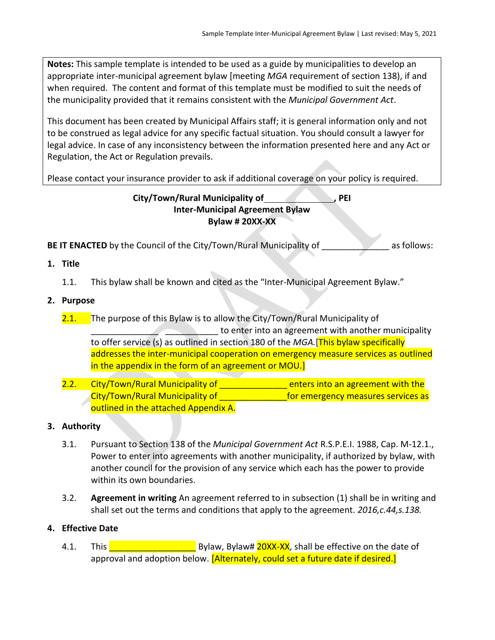**Notes:** This sample template is intended to be used as a guide by municipalities to develop an appropriate inter-municipal agreement bylaw [meeting *MGA* requirement of section 138), if and when required. The content and format of this template must be modified to suit the needs of the municipality provided that it remains consistent with the *Municipal Government Act*.

This document has been created by Municipal Affairs staff; it is general information only and not to be construed as legal advice for any specific factual situation. You should consult a lawyer for legal advice. In case of any inconsistency between the information presented here and any Act or Regulation, the Act or Regulation prevails.

Please contact your insurance provider to ask if additional coverage on your policy is required.

## **City/Town/Rural Municipality of , PEI Inter-Municipal Agreement Bylaw Bylaw # 20XX-XX**

**BE IT ENACTED** by the Council of the City/Town/Rural Municipality of as follows:

- **1. Title**
	- 1.1. This bylaw shall be known and cited as the "Inter-Municipal Agreement Bylaw."

## **2. Purpose**

- 2.1. The purpose of this Bylaw is to allow the City/Town/Rural Municipality of **Example 20 The State of the enter into an agreement with another municipality** to offer service (s) as outlined in section 180 of the *MGA.*[This bylaw specifically addresses the inter-municipal cooperation on emergency measure services as outlined in the appendix in the form of an agreement or MOU.]
- 2.2. City/Town/Rural Municipality of **Exercise 2.2.** enters into an agreement with the City/Town/Rural Municipality of **Exercise 19 and Services as City/Town/Rural Municipality of** outlined in the attached Appendix A.

## **3. Authority**

- 3.1. Pursuant to Section 138 of the *Municipal Government Act* R.S.P.E.I. 1988, Cap. M-12.1., Power to enter into agreements with another municipality, if authorized by bylaw, with another council for the provision of any service which each has the power to provide within its own boundaries.
- 3.2. **Agreement in writing** An agreement referred to in subsection (1) shall be in writing and shall set out the terms and conditions that apply to the agreement. *2016,c.44,s.138.*

## **4. Effective Date**

4.1. This **The Communist Control** Bylaw, Bylaw# 20XX-XX, shall be effective on the date of approval and adoption below. [Alternately, could set a future date if desired.]